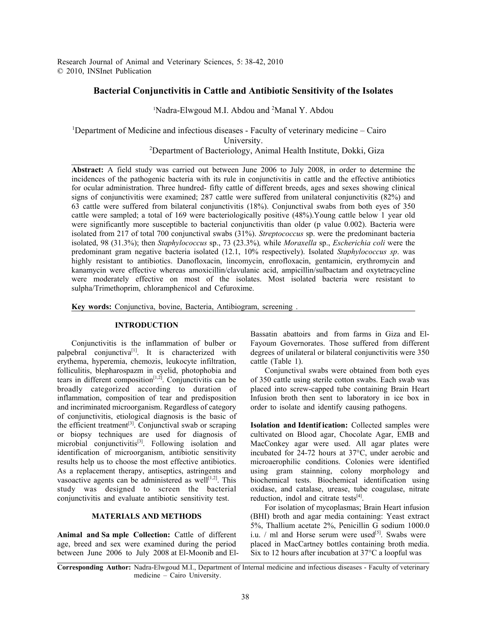Research Journal of Animal and Veterinary Sciences, 5: 38-42, 2010 © 2010, INSInet Publication

# **Bacterial Conjunctivitis in Cattle and Antibiotic Sensitivity of the Isolates**

<sup>1</sup>Nadra-Elwgoud M.I. Abdou and <sup>2</sup>Manal Y. Abdou

<sup>1</sup>Department of Medicine and infectious diseases - Faculty of veterinary medicine – Cairo University. <sup>2</sup>Department of Bacteriology, Animal Health Institute, Dokki, Giza

**Abstract:** A field study was carried out between June 2006 to July 2008, in order to determine the incidences of the pathogenic bacteria with its rule in conjunctivitis in cattle and the effective antibiotics for ocular administration. Three hundred- fifty cattle of different breeds, ages and sexes showing clinical signs of conjunctivitis were examined; 287 cattle were suffered from unilateral conjunctivitis (82%) and 63 cattle were suffered from bilateral conjunctivitis (18%). Conjunctival swabs from both eyes of 350 cattle were sampled; a total of 169 were bacteriologically positive (48%).Young cattle below 1 year old were significantly more susceptible to bacterial conjunctivitis than older (p value 0.002). Bacteria were isolated from 217 of total 700 conjunctival swabs (31%). *Streptococcus* sp. were the predominant bacteria isolated, 98 (31.3%); then *Staphylococcus* sp., 73 (23.3%)*,* while *Moraxella* sp., *Escherichia coli* were the predominant gram negative bacteria isolated (12.1, 10% respectively). Isolated *Staphylococcus sp*. was highly resistant to antibiotics. Danofloxacin, lincomycin, enrofloxacin, gentamicin, erythromycin and kanamycin were effective whereas amoxicillin/clavulanic acid, ampicillin/sulbactam and oxytetracycline were moderately effective on most of the isolates. Most isolated bacteria were resistant to sulpha/Trimethoprim, chloramphenicol and Cefuroxime.

**Key words:** Conjunctiva, bovine, Bacteria, Antibiogram, screening .

## **INTRODUCTION**

Conjunctivitis is the inflammation of bulber or palpebral conjunctiva<sup>[1]</sup>. It is characterized with erythema, hyperemia, chemozis, leukocyte infiltration, folliculitis, blepharospazm in eyelid, photophobia and tears in different composition<sup> $[1,2]$ </sup>. Conjunctivitis can be broadly categorized according to duration of inflammation, composition of tear and predisposition and incriminated microorganism. Regardless of category of conjunctivitis, etiological diagnosis is the basic of the efficient treatment<sup>[3]</sup>. Conjunctival swab or scraping or biopsy techniques are used for diagnosis of microbial conjunctivitis<sup>[3]</sup>. Following isolation and identification of microorganism, antibiotic sensitivity results help us to choose the most effective antibiotics. As a replacement therapy, antiseptics, astringents and vasoactive agents can be administered as well $[1,2]$ . This study was designed to screen the bacterial conjunctivitis and evaluate antibiotic sensitivity test.

### **MATERIALS AND METHODS**

**Animal and Sa mple Collection:** Cattle of different age, breed and sex were examined during the period between June 2006 to July 2008 at El-Moonib and El- Six to 12 hours after incubation at 37°C a loopful was

Bassatin abattoirs and from farms in Giza and El-Fayoum Governorates. Those suffered from different degrees of unilateral or bilateral conjunctivitis were 350 cattle (Table 1).

Conjunctival swabs were obtained from both eyes of 350 cattle using sterile cotton swabs. Each swab was placed into screw-capped tube containing Brain Heart Infusion broth then sent to laboratory in ice box in order to isolate and identify causing pathogens.

**Isolation and Identif ication:** Collected samples were cultivated on Blood agar, Chocolate Agar, EMB and MacConkey agar were used. All agar plates were incubated for 24-72 hours at 37°C, under aerobic and microaerophilic conditions. Colonies were identified using gram stainning, colony morphology and biochemical tests. Biochemical identification using oxidase, and catalase, urease, tube coagulase, nitrate reduction, indol and citrate tests $[4]$ .

For isolation of mycoplasmas; Brain Heart infusion (BHI) broth and agar media containing: Yeast extract 5%, Thallium acetate 2%, Penicillin G sodium 1000.0 i.u.  $/$  ml and Horse serum were used<sup>[5]</sup>. Swabs were placed in MacCartney bottles containing broth media.

**Corresponding Author:** Nadra-Elwgoud M.I., Department of Internal medicine and infectious diseases - Faculty of veterinary medicine – Cairo University.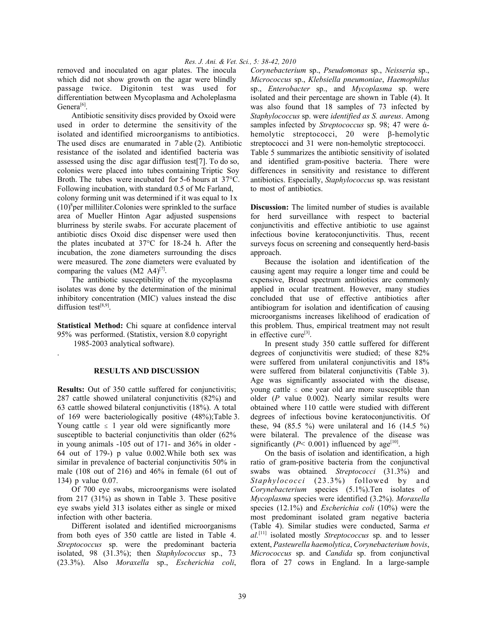removed and inoculated on agar plates. The inocula which did not show growth on the agar were blindly passage twice. Digitonin test was used for differentiation between Mycoplasma and Acholeplasma Genera<sup>[6]</sup>.

Antibiotic sensitivity discs provided by Oxoid were used in order to determine the sensitivity of the isolated and identified microorganisms to antibiotics. The used discs are enumarated in Vable (2). Antibiotic resistance of the isolated and identified bacteria was assessed using the disc agar diffusion test[7]. To do so, colonies were placed into tubes containing Triptic Soy Broth. The tubes were incubated for 5-6 hours at 37°C. Following incubation, with standard 0.5 of Mc Farland, colony forming unit was determined if it was equal to 1x  $(10)<sup>8</sup>$ per milliliter. Colonies were sprinkled to the surface area of Mueller Hinton Agar adjusted suspensions blurriness by sterile swabs. For accurate placement of antibiotic discs Oxoid disc dispenser were used then the plates incubated at 37°C for 18-24 h. After the incubation, the zone diameters surrounding the discs were measured. The zone diameters were evaluated by comparing the values  $(M2 \text{ A}4)^{[7]}$ .

The antibiotic susceptibility of the mycoplasma isolates was done by the determination of the minimal inhibitory concentration (MIC) values instead the disc diffusion test $[8,9]$ .

**Statistical Method:** Chi square at confidence interval 95% was performed. (Statistix, version 8.0 copyright 1985-2003 analytical software).

#### **RESULTS AND DISCUSSION**

.

**Results:** Out of 350 cattle suffered for conjunctivitis; 287 cattle showed unilateral conjunctivitis (82%) and 63 cattle showed bilateral conjunctivitis (18%). A total of 169 were bacteriologically positive (48%);Table 3. Young cattle  $\leq 1$  year old were significantly more susceptible to bacterial conjunctivitis than older  $(62\%$ in young animals -105 out of 171- and 36% in older - 64 out of 179-) p value 0.002.While both sex was similar in prevalence of bacterial conjunctivitis 50% in male (108 out of 216) and 46% in female (61 out of 134) p value 0.07.

Of 700 eye swabs, microorganisms were isolated from 217 (31%) as shown in Table 3. These positive eye swabs yield 313 isolates either as single or mixed infection with other bacteria.

Different isolated and identified microorganisms from both eyes of 350 cattle are listed in Table 4. *Streptococcus* sp. were the predominant bacteria isolated, 98 (31.3%); then *Staphylococcus* sp., 73 (23.3%). Also *Moraxella* sp., *Escherichia coli*, *Corynebacterium* sp., *Pseudomonas* sp., *Neisseria* sp., *Micrococcus* sp., *Klebsiella pneumoniae*, *Haemophilus* sp., *Enterobacter* sp., and *Mycoplasma* sp. were isolated and their percentage are shown in Table (4). It was also found that 18 samples of 73 infected by *Staphylococcus* sp. were *identified as S. aureus*. Among samples infected by *Streptococcus* sp. 98; 47 were άhemolytic streptococci, 20 were β-hemolytic streptococci and 31 were non-hemolytic streptococci. Table 5 summarizes the antibiotic sensitivity of isolated and identified gram-positive bacteria. There were differences in sensitivity and resistance to different antibiotics. Especially, *Staphylococcus* sp. was resistant to most of antibiotics.

**Discussion:** The limited number of studies is available for herd surveillance with respect to bacterial conjunctivitis and effective antibiotic to use against infectious bovine keratoconjunctivitis. Thus, recent surveys focus on screening and consequently herd-basis approach.

Because the isolation and identification of the causing agent may require a longer time and could be expensive, Broad spectrum antibiotics are commonly applied in ocular treatment. However, many studies concluded that use of effective antibiotics after antibiogram for isolation and identification of causing microorganisms increases likelihood of eradication of this problem. Thus, empirical treatment may not result in effective cure<sup>[3]</sup>.

In present study 350 cattle suffered for different degrees of conjunctivitis were studied; of these 82% were suffered from unilateral conjunctivitis and 18% were suffered from bilateral conjunctivitis (Table 3). Age was significantly associated with the disease, young cattle  $\le$  one year old are more susceptible than older (*P* value 0.002). Nearly similar results were obtained where 110 cattle were studied with different degrees of infectious bovine keratoconjunctivitis. Of these, 94 (85.5 %) were unilateral and 16 (14.5 %) were bilateral. The prevalence of the disease was significantly ( $P$ < 0.001) influenced by age<sup>[10]</sup>.

On the basis of isolation and identification, a high ratio of gram-positive bacteria from the conjunctival swabs was obtained*. Streptococci* (31.3%) and *Staphylococci* (23.3%) followed by and *Corynebacterium* species (5.1%).Ten isolates of *Mycoplasma* species were identified (3.2%). *Moraxella* species (12.1%) and *Escherichia coli* (10%) were the most predominant isolated gram negative bacteria (Table 4). Similar studies were conducted, Sarma *et al.*[11] isolated mostly *Streptococcus* sp. and to lesser extent, *Pasteurella haemolytica*, *Corynebacterium bovis*, *Micrococcus* sp. and *Candida* sp. from conjunctival flora of 27 cows in England. In a large-sample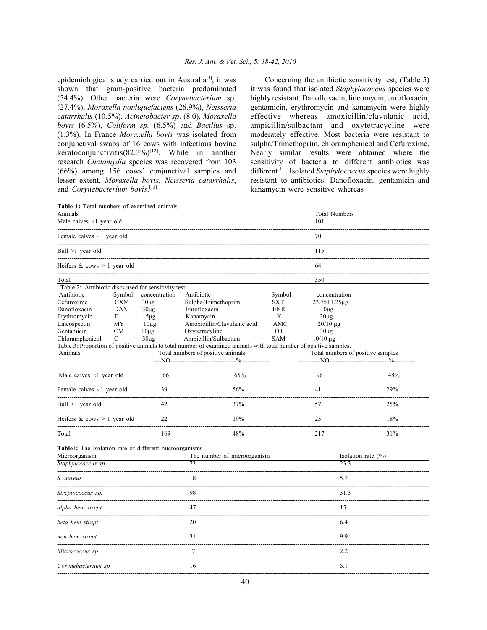epidemiological study carried out in Australia<sup>[3]</sup>, it was shown that gram-positive bacteria predominated (54.4%). Other bacteria were *Corynebacterium* sp. (27.4%), *Moraxella nonliquefaciens* (26.9%), *Neisseria catarrhalis* (10.5%), *Acinetobacter sp*. (8.0), *Moraxella bovis* (6.5%), *Coliform sp.* (6.5%) and *Bacillus* sp. (1.3%). In France *Moraxella bovis* was isolated from conjunctival swabs of 16 cows with infectious bovine keratoconjunctivitis $(82.3\%)^{[12]}$ . While in another research *Chalamydia* species was recovered from 103 (66%) among 156 cows' conjunctival samples and lesser extent, *Moraxella bovis*, *Neisseria catarrhalis*, and *Corynebacterium bovis*. [13]

Concerning the antibiotic sensitivity test, (Table 5) it was found that isolated *Staphylococcus* species were highly resistant. Danofloxacin, lincomycin, enrofloxacin, gentamicin, erythromycin and kanamycin were highly effective whereas amoxicillin/clavulanic acid, ampicillin/sulbactam and oxytetracycline were moderately effective. Most bacteria were resistant to sulpha/Trimethoprim, chloramphenicol and Cefuroxime. Nearly similar results were obtained where the sensitivity of bacteria to different antibiotics was different<sup>[14]</sup>. Isolated *Staphylococcus* species were highly resistant to antibiotics. Danofloxacin, gentamicin and kanamycin were sensitive whereas

| Animals                                                                                                            |                         | <b>Total Numbers</b> |                                          |            |                                   |                       |  |  |  |  |
|--------------------------------------------------------------------------------------------------------------------|-------------------------|----------------------|------------------------------------------|------------|-----------------------------------|-----------------------|--|--|--|--|
| Male calves $\leq 1$ year old                                                                                      |                         | 101                  |                                          |            |                                   |                       |  |  |  |  |
| Female calves ≤1 year old                                                                                          |                         | 70                   |                                          |            |                                   |                       |  |  |  |  |
| Bull $>1$ year old                                                                                                 |                         | 115                  |                                          |            |                                   |                       |  |  |  |  |
| Heifers $&$ cows $> 1$ year old                                                                                    |                         | 64                   |                                          |            |                                   |                       |  |  |  |  |
| Total                                                                                                              |                         |                      |                                          |            | 350                               |                       |  |  |  |  |
| Table 2: Antibiotic discs used for sensitivity test                                                                |                         |                      |                                          |            |                                   |                       |  |  |  |  |
| Antibiotic<br>Symbol                                                                                               |                         | concentration        | Antibiotic                               | Symbol     | concentration                     |                       |  |  |  |  |
| Cefuroxime<br><b>CXM</b>                                                                                           |                         | $30\mu$ g            | Sulpha/Trimethoprim                      | <b>SXT</b> | $23.75 + 1.25 \mu$ g.             |                       |  |  |  |  |
| Danofloxacin                                                                                                       | <b>DAN</b><br>$30\mu$ g |                      | Enrofloxacin                             | <b>ENR</b> | $10\mu$ g                         |                       |  |  |  |  |
| Erythromycin                                                                                                       | E                       | $15\mu$ g            | Kanamycin                                | K          | $30\mu$ g                         |                       |  |  |  |  |
| Lincospectin                                                                                                       | MY                      | $10\mu$ g            | Amoxicillin/Clavulanic acid              | AMC        | $20/10 \mu g$                     |                       |  |  |  |  |
| Gentamicin                                                                                                         | <b>CM</b>               | $10\mu$ g            | Oxytetracyline                           | ОT         | $30\mu$ g                         |                       |  |  |  |  |
| Chloramphenicol                                                                                                    | C<br>$30\mu g$          |                      | Ampicillin/Sulbactam                     | <b>SAM</b> | $10/10 \mu g$                     |                       |  |  |  |  |
| Table 3: Proportion of positive animals to total number of examined animals with total number of positive samples. |                         |                      |                                          |            |                                   |                       |  |  |  |  |
| Animals                                                                                                            |                         |                      | Total numbers of positive animals        |            | Total numbers of positive samples |                       |  |  |  |  |
|                                                                                                                    |                         |                      | ----NO------------------------<br>$-2/2$ |            |                                   |                       |  |  |  |  |
| Male calves $\leq 1$ year old                                                                                      |                         | 66                   | 65%                                      |            | 96                                | 48%                   |  |  |  |  |
| Female calves $\leq 1$ year old                                                                                    |                         | 39                   | 56%                                      |            | 41                                | 29%                   |  |  |  |  |
| Bull >1 year old                                                                                                   |                         | 42                   | 37%                                      |            | 57                                | 25%                   |  |  |  |  |
| Heifers $& \text{cows} > 1 \text{ year old}$                                                                       |                         | 22                   | 19%                                      |            | 23                                | 18%                   |  |  |  |  |
| Total                                                                                                              |                         | 169                  | 48%                                      |            | 217                               | 31%                   |  |  |  |  |
| Table6: The Isolation rate of different microorganisms.                                                            |                         |                      |                                          |            |                                   |                       |  |  |  |  |
| Microorganism                                                                                                      |                         |                      | The number of microorganism              |            |                                   | Isolation rate $(\%)$ |  |  |  |  |
| Staphylococcus sp                                                                                                  |                         |                      | 73                                       |            | 23.3                              |                       |  |  |  |  |
| S. aureus                                                                                                          |                         |                      | 18                                       |            | 5.7                               |                       |  |  |  |  |
| Streptococcus sp.                                                                                                  |                         |                      | 98                                       |            | 31.3                              |                       |  |  |  |  |
| alpha hem strept                                                                                                   |                         |                      | 47                                       |            | 15                                |                       |  |  |  |  |
| beta hem strept                                                                                                    |                         |                      | 20                                       |            | 6.4                               |                       |  |  |  |  |
| non hem strept                                                                                                     |                         |                      | 31                                       |            | 9.9                               |                       |  |  |  |  |
| Micrococcus sp                                                                                                     |                         |                      | $\overline{7}$                           |            | 2.2                               |                       |  |  |  |  |
| Corynebacterium sp                                                                                                 |                         |                      | 16                                       |            | 5.1                               |                       |  |  |  |  |
|                                                                                                                    |                         |                      |                                          |            |                                   |                       |  |  |  |  |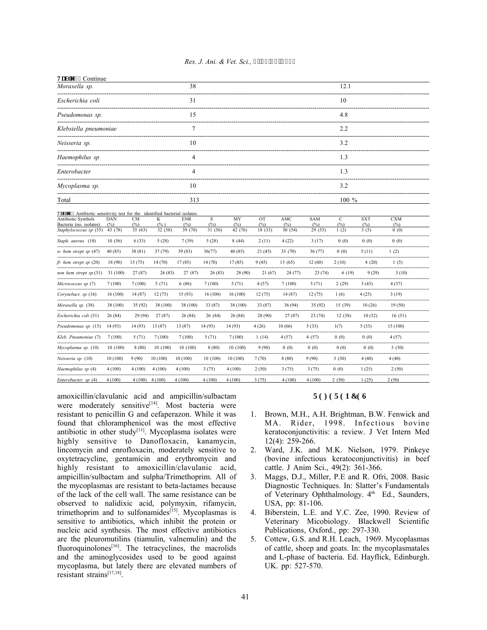| Res. J. Ani. & Vet. Sci., 7<5:/64.'4232 |
|-----------------------------------------|
|-----------------------------------------|

| Vcdrg'6 <continue< th=""><th></th><th></th><th></th><th></th><th></th><th></th><th></th><th></th><th></th><th></th><th></th><th></th></continue<> |                |               |                   |                |               |                |                |                  |                  |                |             |             |  |  |
|---------------------------------------------------------------------------------------------------------------------------------------------------|----------------|---------------|-------------------|----------------|---------------|----------------|----------------|------------------|------------------|----------------|-------------|-------------|--|--|
| Moraxella sp.                                                                                                                                     |                |               |                   | 38             |               |                |                |                  |                  | 12.1           |             |             |  |  |
| Escherichia coli                                                                                                                                  | 31             |               |                   |                |               |                |                | 10               |                  |                |             |             |  |  |
| Pseudomonas sp.                                                                                                                                   | 15             |               |                   |                |               |                |                | 4.8              |                  |                |             |             |  |  |
| Klebsiella pneumoniae                                                                                                                             | 7              |               |                   |                |               |                |                | 2.2              |                  |                |             |             |  |  |
| Neisseria sp.                                                                                                                                     | 10             |               |                   |                |               |                | 3.2            |                  |                  |                |             |             |  |  |
| Haemophilus sp                                                                                                                                    | 4<br>1.3       |               |                   |                |               |                |                |                  |                  |                |             |             |  |  |
| Enterobacter                                                                                                                                      | 1.3<br>4       |               |                   |                |               |                |                |                  |                  |                |             |             |  |  |
| Mycoplasma sp.                                                                                                                                    | 10<br>3.2      |               |                   |                |               |                |                |                  |                  |                |             |             |  |  |
| Total                                                                                                                                             | 100 %<br>313   |               |                   |                |               |                |                |                  |                  |                |             |             |  |  |
|                                                                                                                                                   |                |               |                   |                |               |                |                |                  |                  |                |             |             |  |  |
| Vedry'7 <antibiotic bacterial="" for="" identified="" isolates<br="" sensitivity="" test="" the=""><b>Antibiotic Symbols</b></antibiotic>         | DAN            | <b>CM</b>     | K                 | <b>ENR</b>     | E             | MY             | <b>OT</b>      | AMC              | <b>SAM</b>       | $\overline{C}$ | <b>SXT</b>  | <b>CXM</b>  |  |  |
| Bacteria (no. isolates)<br>Staphylococcus sp (55)                                                                                                 | (%)<br>43 (78) | (%)<br>35(63) | $(\% )$<br>32(58) | (%)<br>39 (70) | (%)<br>31(56) | (%)<br>42 (76) | (%)<br>18 (33) | $(\%)$<br>30(54) | $(\%)$<br>29(53) | (%)<br>1(2)    | (%)<br>3(5) | (%)<br>0(0) |  |  |
|                                                                                                                                                   |                |               |                   |                |               |                |                |                  |                  |                |             |             |  |  |
| Staph. aureus (18)                                                                                                                                | 10(56)         | 6(33)         | 5(28)             | 7(39)          | 5(28)         | 8(44)          | 2(11)          | 4(22)            | 3(17)            | 0(0)           | 0(0)        | 0(0)        |  |  |
| $\alpha$ - hem strept sp (47)                                                                                                                     | 40 (85)        | 38 (81)       | 37(79)            | 39 (83)        | 36(77)        | 40 (85)        | 21(45)         | 33 (70)          | 36(77)           | 0(0)           | 5(11)       | 1(2)        |  |  |
| $\beta$ - hem strept sp (20)                                                                                                                      | 18 (90)        | 15(75)        | 14 (70)           | 17(85)         | 14(70)        | 17(85)         | 9(45)          | 13 (65)          | 12(60)           | 2(10)          | 4(20)       | 1(5)        |  |  |
| non hem strept sp.(31)                                                                                                                            | 31(100)        | 27(87)        | 26(83)            | 27 (87)        | 26(83)        | 28 (90)        | 21(67)         | 24(77)           | 23(74)           | 6(19)          | 9(29)       | 3(10)       |  |  |
| Micrococcus sp (7)                                                                                                                                | 7(100)         | 7(100)        | 5(71)             | 6(86)          | 7(100)        | 5(71)          | 4(57)          | 7(100)           | 5(71)            | 2(29)          | 3(43)       | 4(57)       |  |  |
| Corynebact. sp (16)                                                                                                                               | 16(100)        | 14(87)        | 12(75)            | 15 (93)        | 16(100)       | 16 (100)       | 12(75)         | 14 (87)          | 12(75)           | 1(6)           | 4(25)       | 3(19)       |  |  |
| Moraxella sp. (38)                                                                                                                                | 38 (100)       | 35(92)        | 38 (100)          | 38 (100)       | 33 (87)       | 38 (100)       | 33 (87)        | 36 (94)          | 35(92)           | 15 (39)        | 10(26)      | 19(50)      |  |  |
| Escherichia coli (31)                                                                                                                             | 26(84)         | 29 (94)       | 27(87)            | 26(84)         | 26 (84)       | 26 (84)        | 28 (90)        | 27(87)           | 23(74)           | 12(38)         | 10(32)      | 16(51)      |  |  |
| Pseudomonas sp. (15)                                                                                                                              | 14(93)         | 14 (93)       | 13 (87)           | 13 (87)        | 14 (93)       | 14 (93)        | 4(26)          | 10(66)           | 5(33)            | 1(7)           | 5(33)       | 15 (100)    |  |  |
| Kleb. Pneumoniae (7)                                                                                                                              | 7(100)         | 5(71)         | 7(100)            | 7(100)         | 5(71)         | 7(100)         | 1(14)          | 4(57)            | 4(57)            | 0(0)           | 0(0)        | 4(57)       |  |  |
| Mycoplasma sp. (10)                                                                                                                               | 10(100)        | 8(80)         | 10(100)           | 10(100)        | 8(80)         | 10(100)        | 9(90)          | 0(0)             | 0(0)             | 0(0)           | 0(0)        | 3(30)       |  |  |
| Neisseria sp. (10)                                                                                                                                | 10(100)        | 9(90)         | 10(100)           | 10(100)        | 10(100)       | 10(100)        | 7(70)          | 8(80)            | 9(90)            | 3(30)          | 4(40)       | 4(40)       |  |  |
| Haemophilus sp (4)                                                                                                                                | 4(100)         | 4(100)        | 4(100)            | 4(100)         | 3(75)         | 4(100)         | 2(50)          | 3(75)            | 3(75)            | 0(0)           | 1(25)       | 2(50)       |  |  |
| Enterobacter. sp (4)                                                                                                                              | 4(100)         | 4(100)        | 4(100)            | 4(100)         | 4(100)        | 4(100)         | 3(75)          | 4(100)           | 4(100)           | 2(50)          | 1(25)       | 2(50)       |  |  |

amoxicillin/clavulanic acid and ampicillin/sulbactam were moderately sensitive<sup>[14]</sup>. Most bacteria were resistant to penicillin G and cefaperazon. While it was found that chloramphenicol was the most effective antibiotic in other study<sup>[11]</sup>. Mycoplasma isolates were highly sensitive to Danofloxacin, kanamycin, lincomycin and enrofloxacin, moderately sensitive to oxytetracycline, gentamicin and erythromycin and highly resistant to amoxicillin/clavulanic acid, ampicillin/sulbactam and sulpha/Trimethoprim. All of the mycoplasmas are resistant to beta-lactames because of the lack of the cell wall. The same resistance can be observed to nalidixic acid, polymyxin, rifamycin, trimethoprim and to sulfonamides<sup>[15]</sup>. Mycoplasmas is sensitive to antibiotics, which inhibit the protein or nucleic acid synthesis. The most effective antibiotics are the pleuromutilins (tiamulin, valnemulin) and the fluoroquinolones $[16]$ . The tetracyclines, the macrolids and the aminoglycosides used to be good against mycoplasma, but lately there are elevated numbers of resistant strains<sup>[17,18]</sup>.

#### **TGHGTGPEGU**

- 1. Brown, M.H., A.H. Brightman, B.W. Fenwick and MA. Rider, 1998. Infectious bovine keratoconjunctivitis: a review. J Vet Intern Med 12(4): 259-266.
- 2. Ward, J.K. and M.K. Nielson, 1979. Pinkeye (bovine infectious keratoconjunctivitis) in beef cattle. J Anim Sci., 49(2): 361-366.
- 3. Maggs, D.J., Miller, P.E and R. Ofri, 2008. Basic Diagnostic Techniques. In: Slatter's Fundamentals of Veterinary Ophthalmology. 4<sup>th</sup> Ed., Saunders, USA, pp: 81-106.
- 4. Biberstein, L.E. and Y.C. Zee, 1990. Review of Veterinary Micobiology. Blackwell Scientific Publications, Oxford., pp: 297-330.
- 5. Cottew, G.S. and R.H. Leach, 1969. Mycoplasmas of cattle, sheep and goats. In: the mycoplasmatales and L-phase of bacteria. Ed. Hayflick, Edinburgh. UK. pp: 527-570.